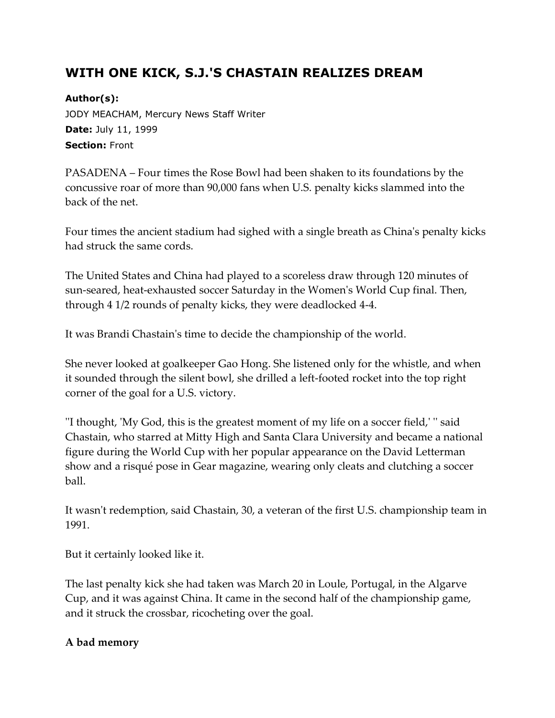## **WITH ONE KICK, S.J.'S CHASTAIN REALIZES DREAM**

**Author(s):** JODY MEACHAM, Mercury News Staff Writer **Date:** July 11, 1999 **Section:** Front

PASADENA – Four times the Rose Bowl had been shaken to its foundations by the concussive roar of more than 90,000 fans when U.S. penalty kicks slammed into the back of the net.

Four times the ancient stadium had sighed with a single breath as China's penalty kicks had struck the same cords.

The United States and China had played to a scoreless draw through 120 minutes of sun-seared, heat-exhausted soccer Saturday in the Women's World Cup final. Then, through 4 1/2 rounds of penalty kicks, they were deadlocked 4-4.

It was Brandi Chastain's time to decide the championship of the world.

She never looked at goalkeeper Gao Hong. She listened only for the whistle, and when it sounded through the silent bowl, she drilled a left-footed rocket into the top right corner of the goal for a U.S. victory.

''I thought, 'My God, this is the greatest moment of my life on a soccer field,' '' said Chastain, who starred at Mitty High and Santa Clara University and became a national figure during the World Cup with her popular appearance on the David Letterman show and a risqué pose in Gear magazine, wearing only cleats and clutching a soccer ball.

It wasn't redemption, said Chastain, 30, a veteran of the first U.S. championship team in 1991.

But it certainly looked like it.

The last penalty kick she had taken was March 20 in Loule, Portugal, in the Algarve Cup, and it was against China. It came in the second half of the championship game, and it struck the crossbar, ricocheting over the goal.

## **A bad memory**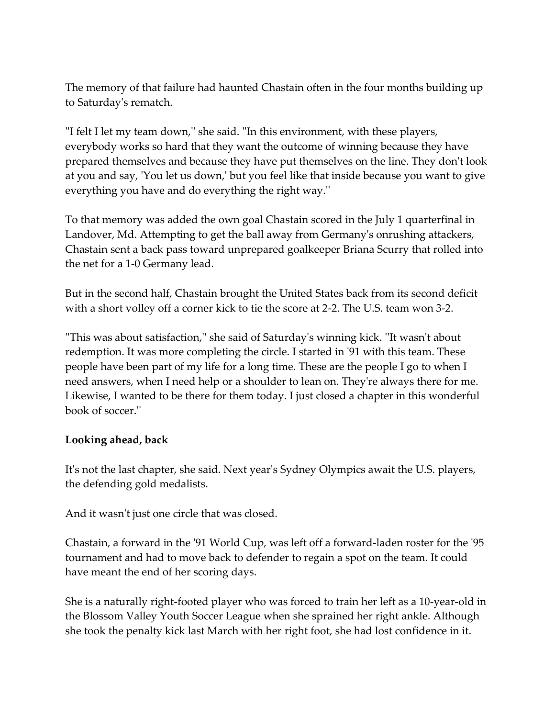The memory of that failure had haunted Chastain often in the four months building up to Saturday's rematch.

''I felt I let my team down,'' she said. ''In this environment, with these players, everybody works so hard that they want the outcome of winning because they have prepared themselves and because they have put themselves on the line. They don't look at you and say, 'You let us down,' but you feel like that inside because you want to give everything you have and do everything the right way.''

To that memory was added the own goal Chastain scored in the July 1 quarterfinal in Landover, Md. Attempting to get the ball away from Germany's onrushing attackers, Chastain sent a back pass toward unprepared goalkeeper Briana Scurry that rolled into the net for a 1-0 Germany lead.

But in the second half, Chastain brought the United States back from its second deficit with a short volley off a corner kick to tie the score at 2-2. The U.S. team won 3-2.

''This was about satisfaction,'' she said of Saturday's winning kick. ''It wasn't about redemption. It was more completing the circle. I started in '91 with this team. These people have been part of my life for a long time. These are the people I go to when I need answers, when I need help or a shoulder to lean on. They're always there for me. Likewise, I wanted to be there for them today. I just closed a chapter in this wonderful book of soccer.''

## **Looking ahead, back**

It's not the last chapter, she said. Next year's Sydney Olympics await the U.S. players, the defending gold medalists.

And it wasn't just one circle that was closed.

Chastain, a forward in the '91 World Cup, was left off a forward-laden roster for the '95 tournament and had to move back to defender to regain a spot on the team. It could have meant the end of her scoring days.

She is a naturally right-footed player who was forced to train her left as a 10-year-old in the Blossom Valley Youth Soccer League when she sprained her right ankle. Although she took the penalty kick last March with her right foot, she had lost confidence in it.